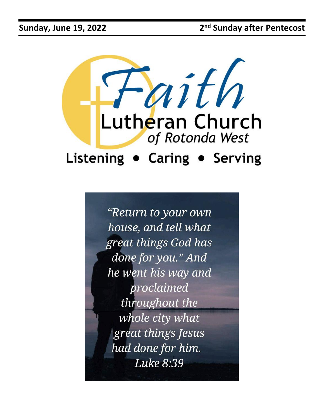

"Return to your own house, and tell what great things God has done for you." And he went his way and proclaimed throughout the whole city what great things Jesus had done for him. Luke 8:39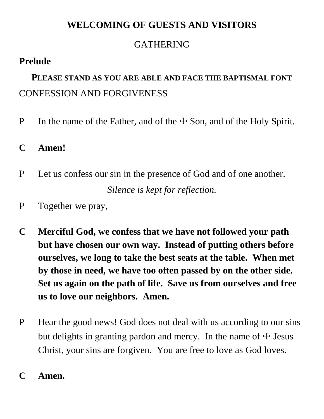#### GATHERING

## **Prelude**

# **PLEASE STAND AS YOU ARE ABLE AND FACE THE BAPTISMAL FONT** CONFESSION AND FORGIVENESS

- P In the name of the Father, and of the  $\pm$  Son, and of the Holy Spirit.
- **C Amen!**
- P Let us confess our sin in the presence of God and of one another. *Silence is kept for reflection.*
- P Together we pray,
- **C Merciful God, we confess that we have not followed your path but have chosen our own way. Instead of putting others before ourselves, we long to take the best seats at the table. When met by those in need, we have too often passed by on the other side. Set us again on the path of life. Save us from ourselves and free us to love our neighbors. Amen.**
- P Hear the good news! God does not deal with us according to our sins but delights in granting pardon and mercy. In the name of  $\pm$  Jesus Christ, your sins are forgiven. You are free to love as God loves.
- **C Amen.**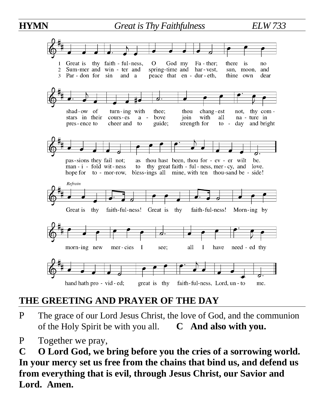

# **THE GREETING AND PRAYER OF THE DAY**

- P The grace of our Lord Jesus Christ, the love of God, and the communion of the Holy Spirit be with you all. **C And also with you.**
- P Together we pray,

**C O Lord God, we bring before you the cries of a sorrowing world. In your mercy set us free from the chains that bind us, and defend us from everything that is evil, through Jesus Christ, our Savior and Lord. Amen.**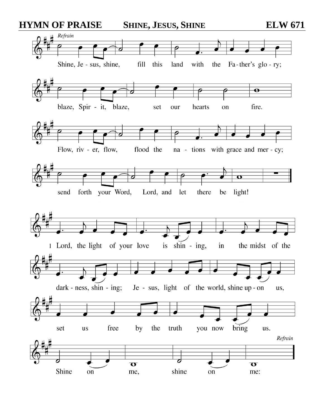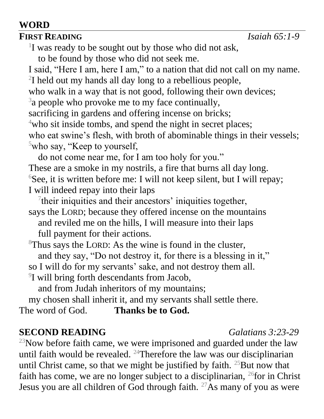#### **WORD**

#### **FIRST READING** *Isaiah 65:1-9*

<sup>1</sup>I was ready to be sought out by those who did not ask,

to be found by those who did not seek me.

I said, "Here I am, here I am," to a nation that did not call on my name. <sup>2</sup>I held out my hands all day long to a rebellious people,

who walk in a way that is not good, following their own devices;

 $3a$  people who provoke me to my face continually,

sacrificing in gardens and offering incense on bricks;

<sup>4</sup>who sit inside tombs, and spend the night in secret places;

who eat swine's flesh, with broth of abominable things in their vessels;  $5$ who say, "Keep to yourself,

do not come near me, for I am too holy for you."

These are a smoke in my nostrils, a fire that burns all day long.  ${}^{6}$ See, it is written before me: I will not keep silent, but I will repay; I will indeed repay into their laps

<sup>7</sup>their iniquities and their ancestors' iniquities together,

says the LORD; because they offered incense on the mountains and reviled me on the hills, I will measure into their laps full payment for their actions.

<sup>8</sup>Thus says the LORD: As the wine is found in the cluster, and they say, "Do not destroy it, for there is a blessing in it,"

so I will do for my servants' sake, and not destroy them all.

<sup>9</sup>I will bring forth descendants from Jacob,

and from Judah inheritors of my mountains;

my chosen shall inherit it, and my servants shall settle there.

The word of God. **Thanks be to God.**

## **SECOND READING** *Galatians 3:23-29*

 $23$ Now before faith came, we were imprisoned and guarded under the law until faith would be revealed.  $24$ Therefore the law was our disciplinarian until Christ came, so that we might be justified by faith.  $25$ But now that faith has come, we are no longer subject to a disciplinarian,  $^{26}$  for in Christ Jesus you are all children of God through faith.  $27\text{As}$  many of you as were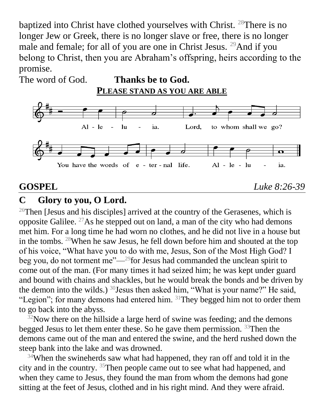baptized into Christ have clothed yourselves with Christ. <sup>28</sup>There is no longer Jew or Greek, there is no longer slave or free, there is no longer male and female; for all of you are one in Christ Jesus. <sup>29</sup>And if you belong to Christ, then you are Abraham's offspring, heirs according to the promise.

The word of God. **Thanks be to God. PLEASE STAND AS YOU ARE ABLE**



**GOSPEL** *Luke 8:26-39*

#### **C Glory to you, O Lord.**

<sup>26</sup>Then [Jesus and his disciples] arrived at the country of the Gerasenes, which is opposite Galilee. <sup>27</sup>As he stepped out on land, a man of the city who had demons met him. For a long time he had worn no clothes, and he did not live in a house but in the tombs. <sup>28</sup>When he saw Jesus, he fell down before him and shouted at the top of his voice, "What have you to do with me, Jesus, Son of the Most High God? I beg you, do not torment me"—<sup>29</sup>for Jesus had commanded the unclean spirit to come out of the man. (For many times it had seized him; he was kept under guard and bound with chains and shackles, but he would break the bonds and be driven by the demon into the wilds.)  $30$  Jesus then asked him, "What is your name?" He said, "Legion"; for many demons had entered him.  $31$ They begged him not to order them to go back into the abyss.

 $32$ Now there on the hillside a large herd of swine was feeding; and the demons begged Jesus to let them enter these. So he gave them permission.  $33$ Then the demons came out of the man and entered the swine, and the herd rushed down the steep bank into the lake and was drowned.

 $34$ When the swineherds saw what had happened, they ran off and told it in the city and in the country. <sup>35</sup>Then people came out to see what had happened, and when they came to Jesus, they found the man from whom the demons had gone sitting at the feet of Jesus, clothed and in his right mind. And they were afraid.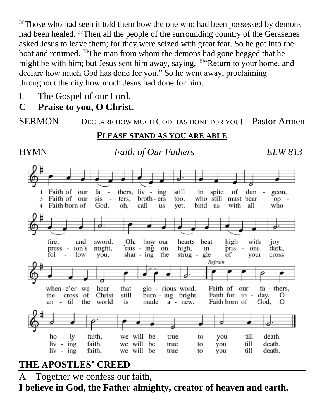<sup>36</sup>Those who had seen it told them how the one who had been possessed by demons had been healed. <sup>37</sup>Then all the people of the surrounding country of the Gerasenes asked Jesus to leave them; for they were seized with great fear. So he got into the boat and returned. <sup>38</sup>The man from whom the demons had gone begged that he might be with him; but Jesus sent him away, saying,  $39$  Return to your home, and declare how much God has done for you." So he went away, proclaiming throughout the city how much Jesus had done for him.

- L The Gospel of our Lord.
- **C Praise to you, O Christ.**

SERMON DECLARE HOW MUCH GOD HAS DONE FOR YOU! Pastor Armen

#### **PLEASE STAND AS YOU ARE ABLE**

HYMN*Faith of Our Fathers ELW 813* Faith of our fa thers,  $\mathbf{h}$  iv -  $\mathbf{h}$ still in spite of dun 1  $\overline{\phantom{a}}$ geon, 3 Faith of our sis ters, broth - ers too. who still must bear  $op -$ Faith born of God. oh, call us yet, bind us with all who fire, and sword. Oh, how our hearts beat high with joy ion's might, rais - ing high, in pris dark. press on  $\overline{\phantom{a}}$ ons fol  $\overline{\phantom{a}}$ low shar - ing the strug gle of you, your cross Refrain when-e'er we hear that Faith of fa - thers, glo - rious word. our cross of Christ still burn - ing bright. Faith for to day, the О un - til the world is made a - new. Faith born of God. O  $ho - ly$ faith, we will be true to you till death.  $\sin - \sin$ faith. we will till death. be true you to  $\frac{1}{\sqrt{2}}$  -  $\frac{1}{\sqrt{2}}$ faith, we will be till death. true to you

# **THE APOSTLES' CREED**

A Together we confess our faith,

**I believe in God, the Father almighty, creator of heaven and earth.**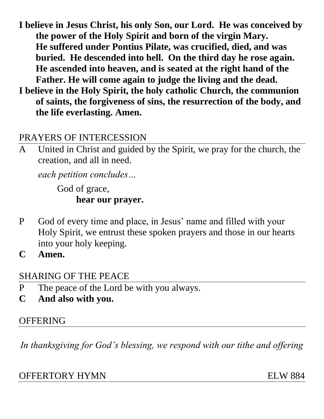- **I believe in Jesus Christ, his only Son, our Lord. He was conceived by the power of the Holy Spirit and born of the virgin Mary. He suffered under Pontius Pilate, was crucified, died, and was buried. He descended into hell. On the third day he rose again. He ascended into heaven, and is seated at the right hand of the Father. He will come again to judge the living and the dead.**
- **I believe in the Holy Spirit, the holy catholic Church, the communion of saints, the forgiveness of sins, the resurrection of the body, and the life everlasting. Amen.**

#### PRAYERS OF INTERCESSION

A United in Christ and guided by the Spirit, we pray for the church, the creation, and all in need.

*each petition concludes…* 

God of grace, **hear our prayer.**

- P God of every time and place, in Jesus' name and filled with your Holy Spirit, we entrust these spoken prayers and those in our hearts into your holy keeping.
- **C Amen.**

## SHARING OF THE PEACE

- P The peace of the Lord be with you always.
- **C And also with you.**

## **OFFERING**

*In thanksgiving for God's blessing, we respond with our tithe and offering*

#### OFFERTORY HYMN ELW 884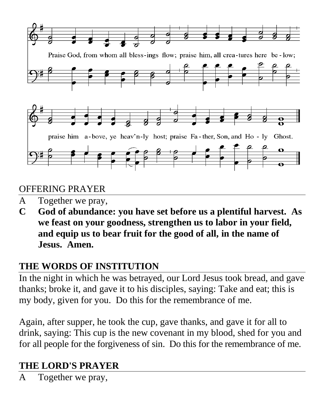

## OFFERING PRAYER

- A Together we pray,
- **C God of abundance: you have set before us a plentiful harvest. As we feast on your goodness, strengthen us to labor in your field, and equip us to bear fruit for the good of all, in the name of Jesus. Amen.**

# **THE WORDS OF INSTITUTION**

In the night in which he was betrayed, our Lord Jesus took bread, and gave thanks; broke it, and gave it to his disciples, saying: Take and eat; this is my body, given for you. Do this for the remembrance of me.

Again, after supper, he took the cup, gave thanks, and gave it for all to drink, saying: This cup is the new covenant in my blood, shed for you and for all people for the forgiveness of sin. Do this for the remembrance of me.

# **THE LORD'S PRAYER**

A Together we pray,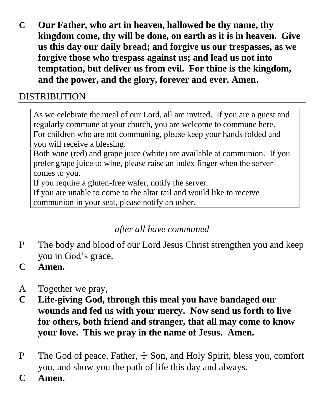**C Our Father, who art in heaven, hallowed be thy name, thy kingdom come, thy will be done, on earth as it is in heaven. Give us this day our daily bread; and forgive us our trespasses, as we forgive those who trespass against us; and lead us not into temptation, but deliver us from evil. For thine is the kingdom, and the power, and the glory, forever and ever. Amen.**

## DISTRIBUTION

As we celebrate the meal of our Lord, all are invited. If you are a guest and regularly commune at your church, you are welcome to commune here. For children who are not communing, please keep your hands folded and you will receive a blessing.

Both wine (red) and grape juice (white) are available at communion. If you prefer grape juice to wine, please raise an index finger when the server comes to you.

If you require a gluten-free wafer, notify the server.

If you are unable to come to the altar rail and would like to receive

communion in your seat, please notify an usher.

# *after all have communed*

- P The body and blood of our Lord Jesus Christ strengthen you and keep you in God's grace.
- **C Amen.**
- A Together we pray,
- **C Life-giving God, through this meal you have bandaged our wounds and fed us with your mercy. Now send us forth to live for others, both friend and stranger, that all may come to know your love. This we pray in the name of Jesus. Amen.**
- P The God of peace, Father,  $\pm$  Son, and Holy Spirit, bless you, comfort you, and show you the path of life this day and always.
- **C Amen.**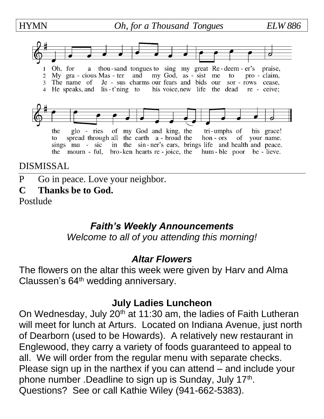HYMN *Oh, for a Thousand Tongues ELW 886*



#### DISMISSAL

P Go in peace. Love your neighbor.

#### **C Thanks be to God.**

Postlude

## *Faith's Weekly Announcements*

*Welcome to all of you attending this morning!*

#### *Altar Flowers*

The flowers on the altar this week were given by Harv and Alma Claussen's 64<sup>th</sup> wedding anniversary.

## **July Ladies Luncheon**

On Wednesday, July 20<sup>th</sup> at 11:30 am, the ladies of Faith Lutheran will meet for lunch at Arturs. Located on Indiana Avenue, just north of Dearborn (used to be Howards). A relatively new restaurant in Englewood, they carry a variety of foods guaranteed to appeal to all. We will order from the regular menu with separate checks. Please sign up in the narthex if you can attend – and include your phone number .Deadline to sign up is Sunday, July 17<sup>th</sup>. Questions? See or call Kathie Wiley (941-662-5383).